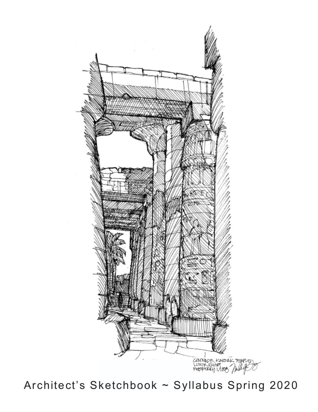

Architect's Sketchbook ~ Syllabus Spring 2020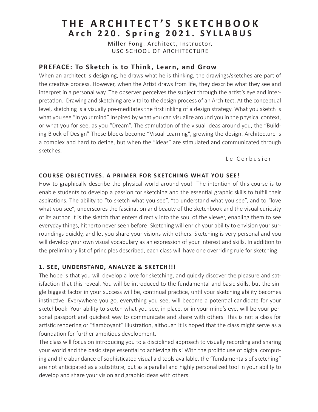# **THE ARCHITECT'S SKETCHBOOK Arch 220. Spring 2021. SYLLABUS**

Miller Fong. Architect, Instructor, USC SCHOOL OF ARCHITECTURE

### **PREFACE: To Sketch is to Think, Learn, and Grow**

When an architect is designing, he draws what he is thinking, the drawings/sketches are part of the creative process. However, when the Artist draws from life, they describe what they see and interpret in a personal way. The observer perceives the subject through the artist's eye and interpretation. Drawing and sketching are vital to the design process of an Architect. At the conceptual level, sketching is a visually pre-meditates the first inkling of a design strategy. What you sketch is what you see "In your mind" Inspired by what you can visualize around you in the physical context, or what you for see, as you "Dream". The stimulation of the visual ideas around you, the "Building Block of Design" These blocks become "Visual Learning", growing the design. Architecture is a complex and hard to define, but when the "ideas" are stimulated and communicated through sketches.

Le Corbusier

#### **COURSE OBJECTIVES. A PRIMER FOR SKETCHING WHAT YOU SEE!**

How to graphically describe the physical world around you! The intention of this course is to enable students to develop a passion for sketching and the essential graphic skills to fulfill their aspirations. The ability to "to sketch what you see", "to understand what you see", and to "love what you see", underscores the fascination and beauty of the sketchbook and the visual curiosity of its author. It is the sketch that enters directly into the soul of the viewer, enabling them to see everyday things, hitherto never seen before! Sketching will enrich your ability to envision your surroundings quickly, and let you share your visions with others. Sketching is very personal and you will develop your own visual vocabulary as an expression of your interest and skills. In addition to the preliminary list of principles described, each class will have one overriding rule for sketching.

### **1. SEE, UNDERSTAND, ANALYZE & SKETCH!!!**

The hope is that you will develop a love for sketching, and quickly discover the pleasure and satisfaction that this reveal. You will be introduced to the fundamental and basic skills, but the single biggest factor in your success will be, continual practice, until your sketching ability becomes instinctive. Everywhere you go, everything you see, will become a potential candidate for your sketchbook. Your ability to sketch what you see, in place, or in your mind's eye, will be your personal passport and quickest way to communicate and share with others. This is not a class for artistic rendering or "flamboyant" illustration, although it is hoped that the class might serve as a foundation for further ambitious development.

The class will focus on introducing you to a disciplined approach to visually recording and sharing your world and the basic steps essential to achieving this! With the prolific use of digital computing and the abundance of sophisticated visual aid tools available, the "fundamentals of sketching" are not anticipated as a substitute, but as a parallel and highly personalized tool in your ability to develop and share your vision and graphic ideas with others.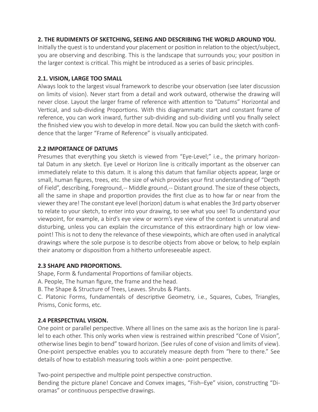# **2. THE RUDIMENTS OF SKETCHING, SEEING AND DESCRIBING THE WORLD AROUND YOU.**

Initially the quest is to understand your placement or position in relation to the object/subject, you are observing and describing. This is the landscape that surrounds you; your position in the larger context is critical. This might be introduced as a series of basic principles.

### **2.1. VISION, LARGE TOO SMALL**

Always look to the largest visual framework to describe your observation (see later discussion on limits of vision). Never start from a detail and work outward, otherwise the drawing will never close. Layout the larger frame of reference with attention to "Datums" Horizontal and Vertical, and sub-dividing Proportions. With this diagrammatic start and constant frame of reference, you can work inward, further sub-dividing and sub-dividing until you finally select the finished view you wish to develop in more detail. Now you can build the sketch with confidence that the larger "Frame of Reference" is visually anticipated.

### **2.2 IMPORTANCE OF DATUMS**

Presumes that everything you sketch is viewed from "Eye-Level;" i.e., the primary horizontal Datum in any sketch. Eye Level or Horizon line is critically important as the observer can immediately relate to this datum. It is along this datum that familiar objects appear, large or small, human figures, trees, etc. the size of which provides your first understanding of "Depth of Field", describing, Foreground,-- Middle ground,-- Distant ground. The size of these objects, all the same in shape and proportion provides the first clue as to how far or near from the viewer they are! The constant eye level (horizon) datum is what enables the 3rd party observer to relate to your sketch, to enter into your drawing, to see what you see! To understand your viewpoint, for example, a bird's eye view or worm's eye view of the context is unnatural and disturbing, unless you can explain the circumstance of this extraordinary high or low viewpoint! This is not to deny the relevance of these viewpoints, which are often used in analytical drawings where the sole purpose is to describe objects from above or below, to help explain their anatomy or disposition from a hitherto unforeseeable aspect.

### **2.3 SHAPE AND PROPORTIONS.**

Shape, Form & fundamental Proportions of familiar objects.

A. People, The human figure, the frame and the head.

B. The Shape & Structure of Trees, Leaves. Shrubs & Plants.

C. Platonic Forms, fundamentals of descriptive Geometry, i.e., Squares, Cubes, Triangles, Prisms, Conic forms, etc.

# **2.4 PERSPECTIVAL VISION.**

One point or parallel perspective. Where all lines on the same axis as the horizon line is parallel to each other. This only works when view is restrained within prescribed "Cone of Vision", otherwise lines begin to bend" toward horizon. (See rules of cone of vision and limits of view). One-point perspective enables you to accurately measure depth from "here to there." See details of how to establish measuring tools within a one- point perspective.

Two-point perspective and multiple point perspective construction.

Bending the picture plane! Concave and Convex images, "Fish–Eye" vision, constructing "Dioramas" or continuous perspective drawings.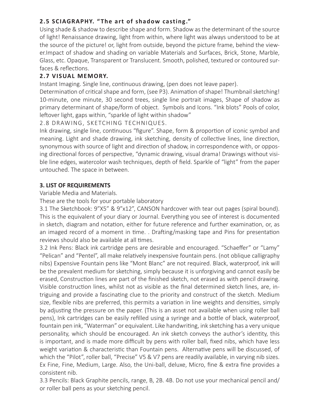# **2.5 SCIAGRAPHY. " The art of shadow casting."**

Using shade & shadow to describe shape and form. Shadow as the determinant of the source of light! Renaissance drawing, light from within, where light was always understood to be at the source of the picture! or, light from outside, beyond the picture frame, behind the viewer.Impact of shadow and shading on variable Materials and Surfaces, Brick, Stone, Marble, Glass, etc. Opaque, Transparent or Translucent. Smooth, polished, textured or contoured surfaces & reflections.

# **2.7 VISUAL MEMORY.**

Instant Imaging. Single line, continuous drawing, (pen does not leave paper).

Determination of critical shape and form, (see P3). Animation of shape! Thumbnail sketching! 10-minute, one minute, 30 second trees, single line portrait images, Shape of shadow as primary determinant of shape/form of object. Symbols and Icons. "Ink blots" Pools of color, leftover light, gaps within, "sparkle of light within shadow"

2.8 DRAWING, SKETCHING TECHNIQUES.

Ink drawing, single line, continuous "figure". Shape, form & proportion of iconic symbol and meaning. Light and shade drawing, ink sketching, density of collective lines, line direction, synonymous with source of light and direction of shadow, in correspondence with, or opposing directional forces of perspective, "dynamic drawing, visual drama! Drawings without visible line edges, watercolor wash techniques, depth of field. Sparkle of "light" from the paper untouched. The space in between.

# **3. LIST OF REQUIREMENTS**

Variable Media and Materials.

These are the tools for your portable laboratory

3.1 The Sketchbook: 9"X5" & 9"x12", CANSON hardcover with tear out pages (spiral bound). This is the equivalent of your diary or Journal. Everything you see of interest is documented in sketch, diagram and notation, either for future reference and further examination, or, as an imaged record of a moment in time. . Drafting/masking tape and Pins for presentation reviews should also be available at all times.

3.2 Ink Pens: Black ink cartridge pens are desirable and encouraged. "Schaeffer" or "Lamy" "Pelican" and "Pentel", all make relatively inexpensive fountain pens. (not oblique calligraphy nibs) Expensive Fountain pens like "Mont Blanc" are not required. Black, waterproof, ink will be the prevalent medium for sketching, simply because it is unforgiving and cannot easily be erased, Construction lines are part of the finished sketch, not erased as with pencil drawing. Visible construction lines, whilst not as visible as the final determined sketch lines, are, intriguing and provide a fascinating clue to the priority and construct of the sketch. Medium size, flexible nibs are preferred, this permits a variation in line weights and densities, simply by adjusting the pressure on the paper. (This is an asset not available when using roller ball pens), Ink cartridges can be easily refilled using a syringe and a bottle of black, waterproof, fountain pen ink, "Waterman" or equivalent. Like handwriting, ink sketching has a very unique personality, which should be encouraged. An ink sketch conveys the author's identity, this is important, and is made more difficult by pens with roller ball, fixed nibs, which have less weight variation & characteristic than Fountain pens. Alternative pens will be discussed, of which the "Pilot", roller ball, "Precise" V5 & V7 pens are readily available, in varying nib sizes. Ex Fine, Fine, Medium, Large. Also, the Uni-ball, deluxe, Micro, fine & extra fine provides a consistent nib.

3.3 Pencils: Black Graphite pencils, range, B, 2B. 4B. Do not use your mechanical pencil and/ or roller ball pens as your sketching pencil.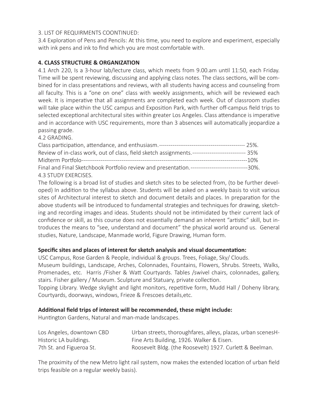### 3. LIST OF REQUIRMENTS COONTINUED:

3.4 Exploration of Pens and Pencils: At this time, you need to explore and experiment, especially with ink pens and ink to find which you are most comfortable with.

### **4. CLASS STRUCTURE & ORGANIZATION**

4.1 Arch 220, Is a 3-hour lab/lecture class, which meets from 9.00.am until 11:50, each Friday. Time will be spent reviewing, discussing and applying class notes. The class sections, will be combined for in class presentations and reviews, with all students having access and counseling from all faculty. This is a "one on one" class with weekly assignments, which will be reviewed each week. It is imperative that all assignments are completed each week. Out of classroom studies will take place within the USC campus and Exposition Park, with further off-campus field trips to selected exceptional architectural sites within greater Los Angeles. Class attendance is imperative and in accordance with USC requirements, more than 3 absences will automatically jeopardize a passing grade.

4.2 GRADING.

| Review of in-class work, out of class, field sketch assignments.---------------------------- 35% |         |
|--------------------------------------------------------------------------------------------------|---------|
|                                                                                                  | ----10% |
| Final and Final Sketchbook Portfolio review and presentation.-------------------------------30%. |         |
| 4.3 STUDY EXERCISES.                                                                             |         |

The following is a broad list of studies and sketch sites to be selected from, (to be further developed) In addition to the syllabus above. Students will be asked on a weekly basis to visit various sites of Architectural interest to sketch and document details and places. In preparation for the above students will be introduced to fundamental strategies and techniques for drawing, sketching and recording images and ideas. Students should not be intimidated by their current lack of confidence or skill, as this course does not essentially demand an inherent "artistic" skill, but introduces the means to "see, understand and document" the physical world around us. General studies, Nature, Landscape, Manmade world, Figure Drawing, Human form.

### **Specific sites and places of interest for sketch analysis and visual documentation:**

USC Campus, Rose Garden & People, individual & groups. Trees, Foliage, Sky/ Clouds.

Museum buildings, Landscape, Arches, Colonnades, Fountains, Flowers, Shrubs. Streets, Walks, Promenades, etc. Harris /Fisher & Watt Courtyards. Tables /swivel chairs, colonnades, gallery, stairs. Fisher gallery / Museum. Sculpture and Statuary, private collection.

Topping Library. Wedge skylight and light monitors, repetitive form, Mudd Hall / Doheny library, Courtyards, doorways, windows, Frieze & Frescoes details,etc.

### **Additional field trips of interest will be recommended, these might include:**

Huntington Gardens, Natural and man-made landscapes.

| Los Angeles, downtown CBD | Urban streets, thoroughfares, alleys, plazas, urban scenesH- |
|---------------------------|--------------------------------------------------------------|
| Historic LA buildings.    | Fine Arts Building, 1926. Walker & Eisen.                    |
| 7th St. and Figueroa St.  | Roosevelt Bldg. (the Roosevelt) 1927. Curlett & Beelman.     |

The proximity of the new Metro light rail system, now makes the extended location of urban field trips feasible on a regular weekly basis).